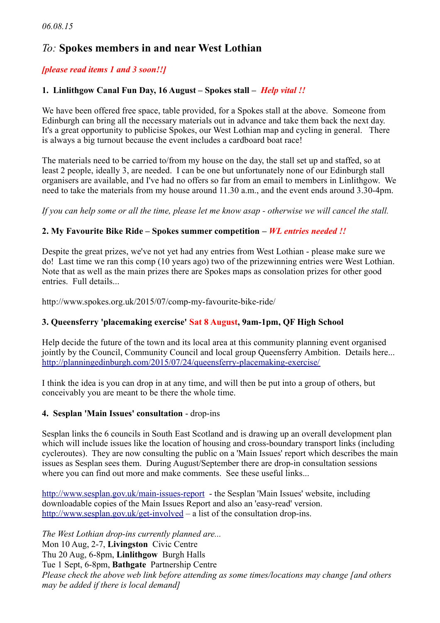# *To:* **Spokes members in and near West Lothian**

# *[please read items 1 and 3 soon!!]*

# **1. Linlithgow Canal Fun Day, 16 August – Spokes stall –** *Help vital !!*

We have been offered free space, table provided, for a Spokes stall at the above. Someone from Edinburgh can bring all the necessary materials out in advance and take them back the next day. It's a great opportunity to publicise Spokes, our West Lothian map and cycling in general. There is always a big turnout because the event includes a cardboard boat race!

The materials need to be carried to/from my house on the day, the stall set up and staffed, so at least 2 people, ideally 3, are needed. I can be one but unfortunately none of our Edinburgh stall organisers are available, and I've had no offers so far from an email to members in Linlithgow. We need to take the materials from my house around 11.30 a.m., and the event ends around 3.30-4pm.

*If you can help some or all the time, please let me know asap - otherwise we will cancel the stall.*

## **2. My Favourite Bike Ride – Spokes summer competition** *– WL entries needed !!*

Despite the great prizes, we've not yet had any entries from West Lothian - please make sure we do! Last time we ran this comp (10 years ago) two of the prizewinning entries were West Lothian. Note that as well as the main prizes there are Spokes maps as consolation prizes for other good entries. Full details...

http://www.spokes.org.uk/2015/07/comp-my-favourite-bike-ride/

## **3. Queensferry 'placemaking exercise' Sat 8 August, 9am-1pm, QF High School**

Help decide the future of the town and its local area at this community planning event organised jointly by the Council, Community Council and local group Oueensferry Ambition. Details here... <http://planningedinburgh.com/2015/07/24/queensferry-placemaking-exercise/>

I think the idea is you can drop in at any time, and will then be put into a group of others, but conceivably you are meant to be there the whole time.

## **4. Sesplan 'Main Issues' consultation** - drop-ins

Sesplan links the 6 councils in South East Scotland and is drawing up an overall development plan which will include issues like the location of housing and cross-boundary transport links (including cycleroutes). They are now consulting the public on a 'Main Issues' report which describes the main issues as Sesplan sees them. During August/September there are drop-in consultation sessions where you can find out more and make comments. See these useful links...

<http://www.sesplan.gov.uk/main-issues-report>- the Sesplan 'Main Issues' website, including downloadable copies of the Main Issues Report and also an 'easy-read' version. <http://www.sesplan.gov.uk/get-involved>– a list of the consultation drop-ins.

*The West Lothian drop-ins currently planned are...* Mon 10 Aug, 2-7, **Livingston** Civic Centre Thu 20 Aug, 6-8pm, **Linlithgow** Burgh Halls Tue 1 Sept, 6-8pm, **Bathgate** Partnership Centre *Please check the above web link before attending as some times/locations may change [and others may be added if there is local demand]*